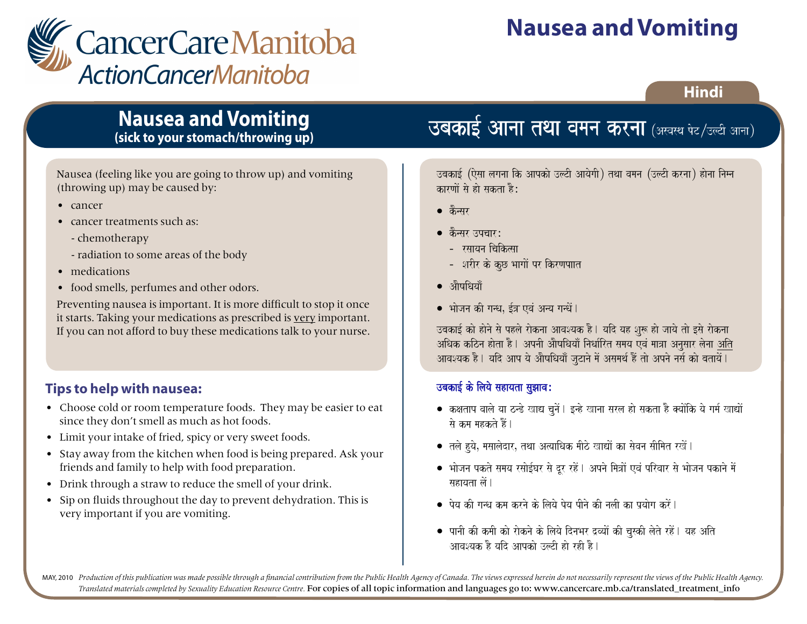

# **Nausea and Vomiting**

### **Hindi**

## **Nausea and Vomiting (sick to your stomach/throwing up)**

Nausea (feeling like you are going to throw up) and vomiting (throwing up) may be caused by:

- cancer
- cancer treatments such as:
	- chemotherapy
	- radiation to some areas of the body
- medications
- food smells, perfumes and other odors.

Preventing nausea is important. It is more difficult to stop it once it starts. Taking your medications as prescribed is very important. If you can not afford to buy these medications talk to your nurse.

### **Tips to help with nausea:**

- Choose cold or room temperature foods. They may be easier to eat since they don't smell as much as hot foods.
- Limit your intake of fried, spicy or very sweet foods.
- Stay away from the kitchen when food is being prepared. Ask your friends and family to help with food preparation.
- Drink through a straw to reduce the smell of your drink.
- Sip on fluids throughout the day to prevent dehydration. This is very important if you are vomiting.

## **ऽबकाई आना तथा वमन करना** (अख्यथ पेट/उल्टी आ

उबकाई (ऐसा लगना कि आपको उल्टी आयेगी) तथा वमन (उल्टी करना) होना निम्न कारणों से हो सकता है:

- $\bullet$  केन्सर
- कैन्सर उपचार:
	- रसायन चिकित्सा
	- शरीर के कुछ भागों पर किरणपाात
- $\bullet$  औषधियाँ
- भोजन की गन्ध, ईत्र एवं अन्य गन्धें ।

उबकाई को होने से पहले रोकना आवश्यक है। यदि यह शुरू हो जाये तो इसे रोकना अधिक कठिन होता है। अपनी औषधियाँ निर्धारित समय एवं मात्रा अनसार लेना अति आवश्यक है। यदि आप ये औषधियाँ जूटाने में असमर्थ हैं तो अपने नर्स को बतायें।

### उबकाई के लिये सहायता सुझाव:

- $\bullet$  कक्षताप वाले या ठन्डे खाद्य चूनें। इन्हे खाना सरल हो सकता है क्योंकि ये गर्म खाद्यों से कम महकते हैं।
- $\bullet$  तले हुये, मसालेदार, तथा अत्याधिक मीठे खाद्यों का सेवन सीमित रखें |
- भोजन पकते समय रसोईघर से दूर रहें | अपने मित्रों एवं परिवार से भोजन पकाने में सहायता लें।
- $\bullet$  पेय की गन्ध कम करने के लिये पेय पीने की नली का प्रयोग करें |
- $\bullet$  पानी की कमी को रोकने के लिये दिनभर द्रव्यों की चुस्की लेते रहें । यह अति आवश्यक है यदि आपको उल्टी हो रही है।

 $\sim$  sauko klafdar Baa $\sim$  ptlao ibaskuT $\sim$  isaki $\sim$ 

MAY, 2010 Production of this publication was made possible through a financial contribution from the Public Health Agency of Canada. The views expressed herein do not necessarily represent the views of the Public Health Ag Production of this publication was made possible through a financial contribution from the Public Health Ire Hublic<br>Translated materials completed by Sexuality Education Resource Centre. F**or copies of all topic informatio**